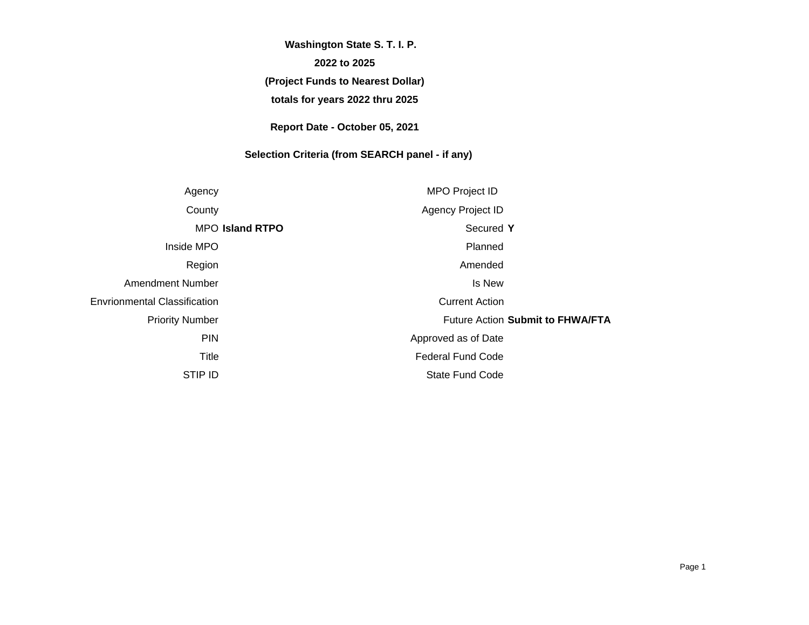# **(Project Funds to Nearest Dollar) totals for years 2022 thru 2025 Washington State S. T. I. P. 2022 to 2025**

**Report Date - October 05, 2021**

# **Selection Criteria (from SEARCH panel - if any)**

| Agency                              | <b>MPO Project ID</b>            |
|-------------------------------------|----------------------------------|
| County                              | Agency Project ID                |
| <b>MPO Island RTPO</b>              | Secured Y                        |
| Inside MPO                          | Planned                          |
| Region                              | Amended                          |
| Amendment Number                    | Is New                           |
| <b>Envrionmental Classification</b> | <b>Current Action</b>            |
| <b>Priority Number</b>              | Future Action Submit to FHWA/FTA |
| <b>PIN</b>                          | Approved as of Date              |
| Title                               | <b>Federal Fund Code</b>         |
| <b>STIP ID</b>                      | <b>State Fund Code</b>           |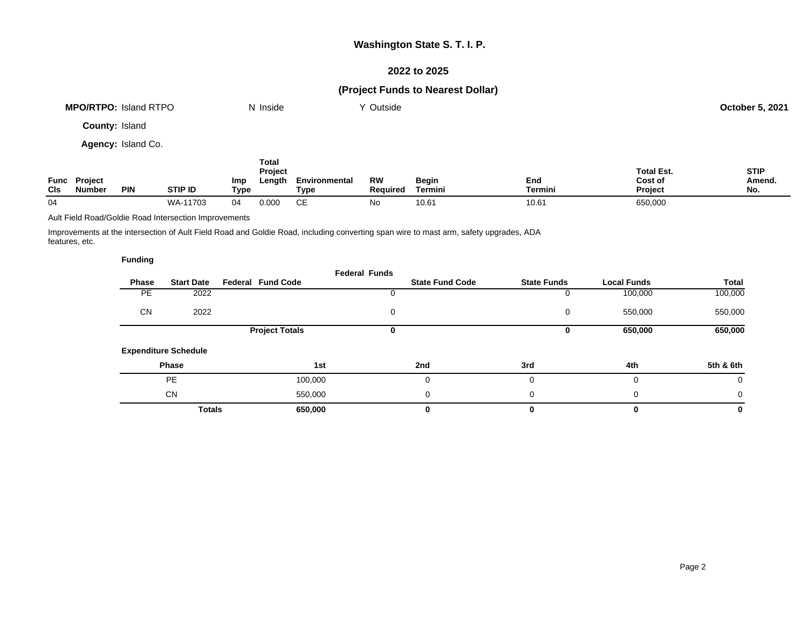## **2022 to 2025**

# **(Project Funds to Nearest Dollar)**

|                       | <b>MPO/RTPO: Island RTPO</b> |                    |                | N Inside                           |                       | Y Outside             |                  |                       |                                                | <b>October 5, 2021</b>       |
|-----------------------|------------------------------|--------------------|----------------|------------------------------------|-----------------------|-----------------------|------------------|-----------------------|------------------------------------------------|------------------------------|
| <b>County: Island</b> |                              |                    |                |                                    |                       |                       |                  |                       |                                                |                              |
|                       |                              | Agency: Island Co. |                |                                    |                       |                       |                  |                       |                                                |                              |
| <b>CIs</b>            | Func Project<br>Number       | <b>PIN</b>         | Imp<br>STIP ID | Total<br>Project<br>Length<br>Type | Environmental<br>Type | <b>RW</b><br>Required | Begin<br>Termini | End<br><b>Termini</b> | <b>Total Est.</b><br>Cost of<br><b>Project</b> | <b>STIP</b><br>Amend.<br>No. |

Ault Field Road/Goldie Road Intersection Improvements

Improvements at the intersection of Ault Field Road and Goldie Road, including converting span wire to mast arm, safety upgrades, ADA features, etc.

04 WA-11703 04 0.000 CE No 10.61 10.61 650,000

|           |                             |                          | <b>Federal Funds</b> |                        |                    |                    |           |
|-----------|-----------------------------|--------------------------|----------------------|------------------------|--------------------|--------------------|-----------|
| Phase     | <b>Start Date</b>           | <b>Federal Fund Code</b> |                      | <b>State Fund Code</b> | <b>State Funds</b> | <b>Local Funds</b> | Total     |
| <b>PE</b> | 2022                        |                          |                      |                        |                    | 100,000            | 100,000   |
| <b>CN</b> | 2022                        |                          | 0                    |                        | 0                  | 550,000            | 550,000   |
|           |                             | <b>Project Totals</b>    | 0                    |                        | 0                  | 650,000            | 650,000   |
|           | <b>Expenditure Schedule</b> |                          |                      |                        |                    |                    |           |
|           | Phase                       | 1st                      |                      | 2nd                    | 3rd                | 4th                | 5th & 6th |
|           | <b>PE</b>                   | 100,000                  |                      |                        | 0                  | 0                  | 0         |
|           | <b>CN</b>                   | 550,000                  |                      | 0                      | 0                  | 0                  | 0         |
|           | <b>Totals</b>               | 650,000                  |                      |                        | 0                  | 0                  | 0         |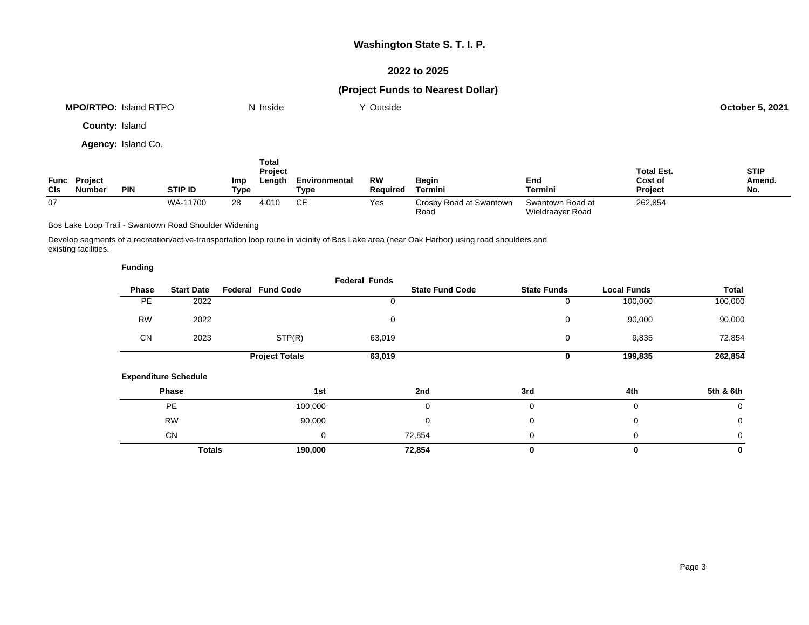## **2022 to 2025**

# **(Project Funds to Nearest Dollar)**

|              |                               | <b>MPO/RTPO: Island RTPO</b> |                |                         | N Inside                                 |                              | Y Outside                   |                         |                       |                                                | <b>October 5, 2021</b>             |
|--------------|-------------------------------|------------------------------|----------------|-------------------------|------------------------------------------|------------------------------|-----------------------------|-------------------------|-----------------------|------------------------------------------------|------------------------------------|
|              | <b>County: Island</b>         |                              |                |                         |                                          |                              |                             |                         |                       |                                                |                                    |
|              |                               | Agency: Island Co.           |                |                         |                                          |                              |                             |                         |                       |                                                |                                    |
| $\mathsf{C}$ | Func Project<br><b>Number</b> | <b>DIM</b>                   | <b>CTID IN</b> | Imp<br>T <sub>max</sub> | <b>Total</b><br><b>Project</b><br>Length | Environmental<br><b>Type</b> | <b>RW</b><br><b>Domirad</b> | Begin<br><b>Tormini</b> | End<br><b>Tormini</b> | <b>Total Est.</b><br>Cost of<br><b>Drainet</b> | <b>STIP</b><br>Amend.<br><b>MA</b> |

| CIs | <b>Number</b> | <b>PIN</b> | STIP ID<br>- 14 | ™урс | TVDE.    | <b>Required</b> | Termini                              | $-$<br>Termini                       | Project | No |
|-----|---------------|------------|-----------------|------|----------|-----------------|--------------------------------------|--------------------------------------|---------|----|
| 07  |               |            | WA-<br>$-11700$ |      | ~-<br>ັັ | Yes             | / Road at Swantown<br>شrosb∨<br>Road | Swantown Road at<br>Wieldraayer Road | 262,854 |    |

Bos Lake Loop Trail - Swantown Road Shoulder Widening

**Funding**

Develop segments of a recreation/active-transportation loop route in vicinity of Bos Lake area (near Oak Harbor) using road shoulders and existing facilities.

| --------  |                             |                          |                       |                      |                        |                    |                    |              |
|-----------|-----------------------------|--------------------------|-----------------------|----------------------|------------------------|--------------------|--------------------|--------------|
| Phase     | <b>Start Date</b>           | <b>Federal Fund Code</b> |                       | <b>Federal Funds</b> | <b>State Fund Code</b> | <b>State Funds</b> | <b>Local Funds</b> | <b>Total</b> |
|           |                             |                          |                       |                      |                        |                    |                    |              |
| <b>PE</b> | 2022                        |                          |                       |                      |                        | 0                  | 100,000            | 100,000      |
| <b>RW</b> | 2022                        |                          |                       | 0                    |                        | 0                  | 90,000             | 90,000       |
| <b>CN</b> | 2023                        |                          | STP(R)                | 63,019               |                        | 0                  | 9,835              | 72,854       |
|           |                             |                          | <b>Project Totals</b> | 63,019               |                        | 0                  | 199,835            | 262,854      |
|           | <b>Expenditure Schedule</b> |                          |                       |                      |                        |                    |                    |              |
|           | Phase                       |                          | 1st                   |                      | 2nd                    | 3rd                | 4th                | 5th & 6th    |
|           | <b>PE</b>                   |                          | 100,000               |                      | 0                      | $\Omega$           | 0                  | 0            |
|           | <b>RW</b>                   |                          | 90,000                |                      | 0                      | $\mathbf 0$        | 0                  | 0            |
|           | <b>CN</b>                   |                          | 0                     |                      | 72,854                 | $\mathbf 0$        | 0                  | 0            |
|           | <b>Totals</b>               |                          | 190,000               |                      | 72,854                 | 0                  | 0                  | 0            |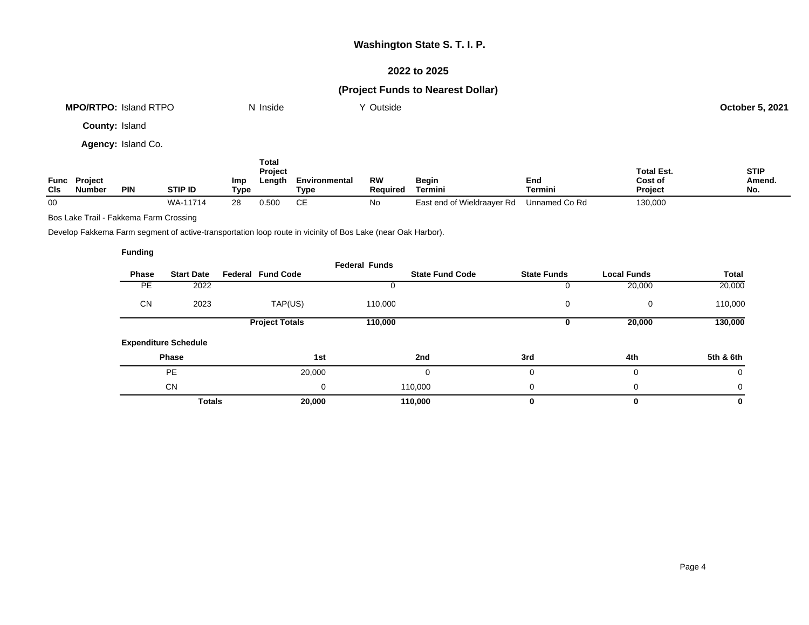## **2022 to 2025**

## **(Project Funds to Nearest Dollar)**

| <b>MPO/RTPO: Island RTPO</b> | N Inside | Y Outside | <b>October 5, 2021</b> |
|------------------------------|----------|-----------|------------------------|
| <b>County: Island</b>        |          |           |                        |
| <b>Agency: Island Co.</b>    |          |           |                        |

**Func Project Cls Number PIN STIP ID Imp Type Total Project Length Environmental Type RW Required Begin Termini End Termini Total Est. Cost of Project STIP Amend. No.** 00 WA-11714 28 0.500 CE No East end of Wieldraayer Rd Unnamed Co Rd 130,000

Bos Lake Trail - Fakkema Farm Crossing

Develop Fakkema Farm segment of active-transportation loop route in vicinity of Bos Lake (near Oak Harbor).

|              |                             |                          | <b>Federal Funds</b> |                        |                    |                    |           |
|--------------|-----------------------------|--------------------------|----------------------|------------------------|--------------------|--------------------|-----------|
| <b>Phase</b> | <b>Start Date</b>           | <b>Federal Fund Code</b> |                      | <b>State Fund Code</b> | <b>State Funds</b> | <b>Local Funds</b> | Total     |
| <b>PE</b>    | 2022                        |                          |                      |                        |                    | 20,000             | 20,000    |
| <b>CN</b>    | 2023                        | TAP(US)                  | 110,000              |                        | 0                  | 0                  | 110,000   |
|              |                             | <b>Project Totals</b>    | 110,000              |                        |                    | 20,000             | 130,000   |
|              | <b>Expenditure Schedule</b> |                          |                      |                        |                    |                    |           |
|              | Phase                       | 1st                      |                      | 2nd                    | 3rd                | 4th                | 5th & 6th |
|              | <b>PE</b>                   | 20,000                   |                      | ი                      |                    | 0                  | 0         |
|              | <b>CN</b>                   | 0                        |                      | 110,000                | 0                  | 0                  | 0         |
|              | <b>Totals</b>               | 20,000                   |                      | 110,000                |                    | 0                  | 0         |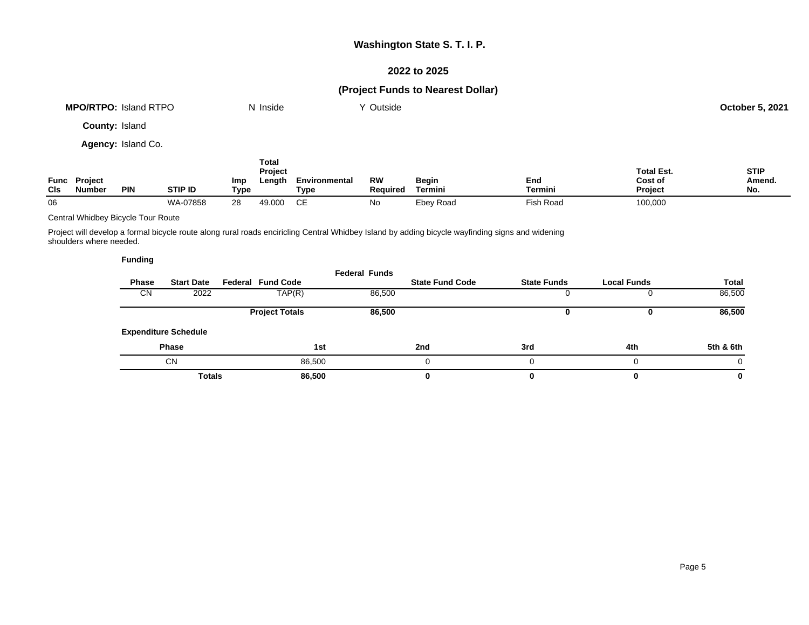## **2022 to 2025**

# **(Project Funds to Nearest Dollar)**

| <b>MPO/RTPO: Island RTPO</b> | N Inside                | Y Outside |                   | <b>October 5, 2021</b> |
|------------------------------|-------------------------|-----------|-------------------|------------------------|
| County: Island               |                         |           |                   |                        |
| Agency: Island Co.           |                         |           |                   |                        |
|                              | <b>Total</b><br>Project |           | <b>Total Est.</b> | <b>STIP</b>            |

| Func<br>CIs | <b>Project</b><br>Number | <b>PIN</b> | <b>STIP ID</b> | Imp<br>Type | .<br>∟enath | Environmental<br>Type | <b>RW</b><br>Required | Begin<br>Termini | End<br>Termin.        | .<br>Cost of<br><b>Project</b> | -<br>Amend.<br>No. |
|-------------|--------------------------|------------|----------------|-------------|-------------|-----------------------|-----------------------|------------------|-----------------------|--------------------------------|--------------------|
| 06          |                          |            | WA-07858       | ററ<br>28    | 49.000      | $\sim$ $-$            | Νo                    | Ebey Road        | <sup>⊏</sup> ish Road | 100,000                        |                    |

Central Whidbey Bicycle Tour Route

Project will develop a formal bicycle route along rural roads enciricling Central Whidbey Island by adding bicycle wayfinding signs and widening shoulders where needed.

|              |                             |                          | <b>Federal Funds</b> |                        |                    |                    |           |
|--------------|-----------------------------|--------------------------|----------------------|------------------------|--------------------|--------------------|-----------|
| <b>Phase</b> | <b>Start Date</b>           | <b>Federal Fund Code</b> |                      | <b>State Fund Code</b> | <b>State Funds</b> | <b>Local Funds</b> | Total     |
| <b>CN</b>    | 2022                        | TAP(R)                   | 86,500               |                        |                    |                    | 86,500    |
|              |                             | <b>Project Totals</b>    | 86,500               |                        |                    |                    | 86,500    |
|              | <b>Expenditure Schedule</b> |                          |                      |                        |                    |                    |           |
|              | <b>Phase</b>                |                          | 1st                  | 2nd                    | 3rd                | 4th                | 5th & 6th |
|              | CN                          |                          | 86,500               |                        |                    | 0                  | 0         |
|              | <b>Totals</b>               |                          | 86,500               | 0                      |                    | 0                  | 0         |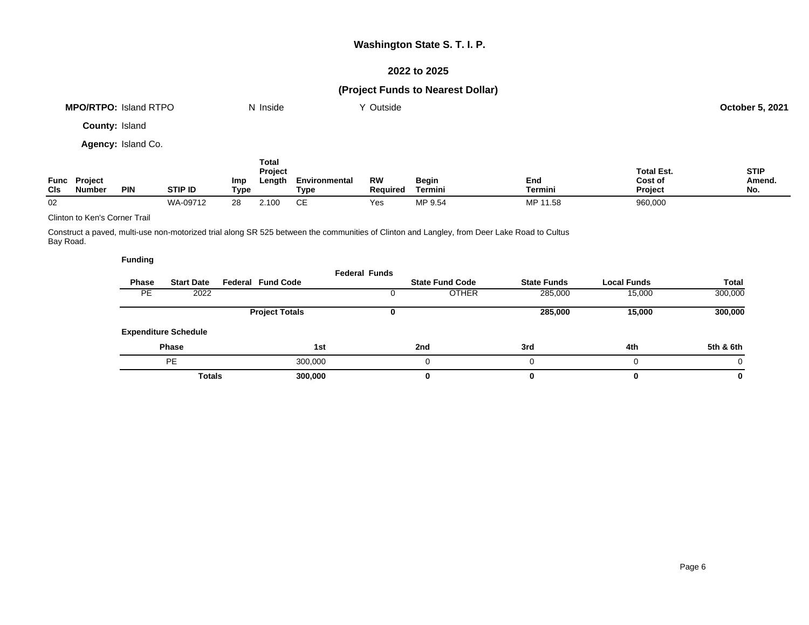## **2022 to 2025**

# **(Project Funds to Nearest Dollar)**

|                       | <b>MPO/RTPO: Island RTPO</b>         |            |                |                    | N Inside                          |                       | Y Outside             |                         |                       |                                                | <b>October 5, 2021</b>       |
|-----------------------|--------------------------------------|------------|----------------|--------------------|-----------------------------------|-----------------------|-----------------------|-------------------------|-----------------------|------------------------------------------------|------------------------------|
| <b>County: Island</b> |                                      |            |                |                    |                                   |                       |                       |                         |                       |                                                |                              |
| Agency: Island Co.    |                                      |            |                |                    |                                   |                       |                       |                         |                       |                                                |                              |
| <b>CIs</b>            | <b>Func Project</b><br><b>Number</b> | <b>PIN</b> | <b>STIP ID</b> | <b>Imp</b><br>Type | Total<br><b>Project</b><br>Length | Environmental<br>Type | RW<br><b>Required</b> | Begin<br><b>Termini</b> | End<br><b>Termini</b> | <b>Total Est.</b><br>Cost of<br><b>Project</b> | <b>STIP</b><br>Amend.<br>No. |

02 WA-09712 28 2.100 CE Yes MP 9.54 MP 11.58 960,000

Clinton to Ken's Corner Trail

Construct a paved, multi-use non-motorized trial along SR 525 between the communities of Clinton and Langley, from Deer Lake Road to Cultus Bay Road.

|       |                             |                          | <b>Federal Funds</b> |                        |                    |                    |           |
|-------|-----------------------------|--------------------------|----------------------|------------------------|--------------------|--------------------|-----------|
| Phase | <b>Start Date</b>           | <b>Federal Fund Code</b> |                      | <b>State Fund Code</b> | <b>State Funds</b> | <b>Local Funds</b> | Total     |
| PE    | 2022                        |                          |                      | <b>OTHER</b>           | 285,000            | 15,000             | 300,000   |
|       |                             | <b>Project Totals</b>    |                      |                        | 285,000            | 15,000             | 300,000   |
|       | <b>Expenditure Schedule</b> |                          |                      |                        |                    |                    |           |
|       | <b>Phase</b>                |                          | 1st                  | 2nd                    | 3rd                | 4th                | 5th & 6th |
|       | PE                          | 300,000                  |                      |                        |                    | 0                  | $\Omega$  |
|       | <b>Totals</b>               | 300,000                  |                      | 0                      |                    | 0                  | $\bf{0}$  |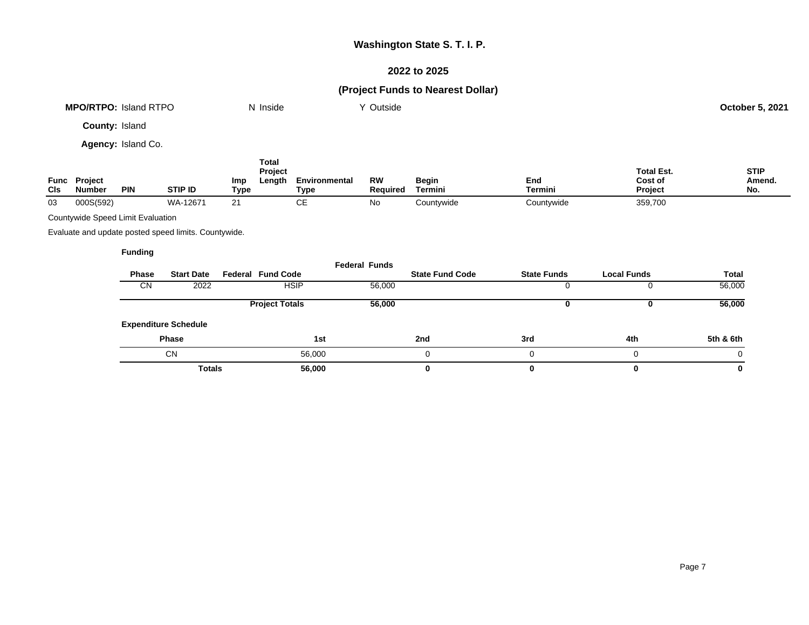## **2022 to 2025**

## **(Project Funds to Nearest Dollar)**

|                           |                          | <b>MPO/RTPO: Island RTPO</b>      |                                                      |             | N Inside                          |                       | Y Outside             |                        |                    |                                         | <b>October 5, 2021</b>       |
|---------------------------|--------------------------|-----------------------------------|------------------------------------------------------|-------------|-----------------------------------|-----------------------|-----------------------|------------------------|--------------------|-----------------------------------------|------------------------------|
|                           | County: Island           |                                   |                                                      |             |                                   |                       |                       |                        |                    |                                         |                              |
|                           |                          | Agency: Island Co.                |                                                      |             |                                   |                       |                       |                        |                    |                                         |                              |
| <b>Func</b><br><b>CIs</b> | Project<br><b>Number</b> | <b>PIN</b>                        | <b>STIP ID</b>                                       | Imp<br>Type | <b>Total</b><br>Project<br>Length | Environmental<br>Type | <b>RW</b><br>Required | Begin<br>Termini       | End<br>Termini     | <b>Total Est.</b><br>Cost of<br>Project | <b>STIP</b><br>Amend.<br>No. |
| 03                        | 000S(592)                |                                   | WA-12671                                             | 21          |                                   | <b>CE</b>             | No                    | Countywide             | Countywide         | 359,700                                 |                              |
|                           |                          | Countywide Speed Limit Evaluation |                                                      |             |                                   |                       |                       |                        |                    |                                         |                              |
|                           |                          |                                   | Evaluate and update posted speed limits. Countywide. |             |                                   |                       |                       |                        |                    |                                         |                              |
|                           |                          | <b>Funding</b>                    |                                                      |             |                                   |                       |                       |                        |                    |                                         |                              |
|                           |                          | Phase                             | <b>Start Date</b>                                    |             | <b>Federal Fund Code</b>          |                       | <b>Federal Funds</b>  | <b>State Fund Code</b> | <b>State Funds</b> | <b>Local Funds</b>                      | <b>Total</b>                 |
|                           |                          | <b>CN</b>                         | 2022                                                 |             |                                   | <b>HSIP</b>           | 56,000                |                        |                    | 0                                       | 56,000                       |

**Expenditure Schedule**

**Project Totals 56,000 0 0 56,000**

**Phase 1st 2nd 3rd 4th 5th & 6th**  $\rm CN$  56,000 0 0 0 0 0 0

**Totals 56,000 0 0 0 0**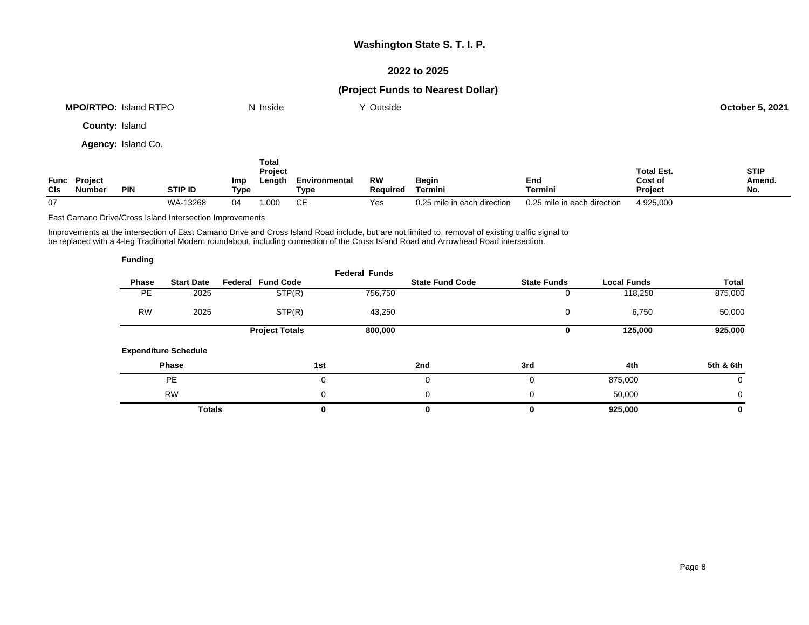## **2022 to 2025**

# **(Project Funds to Nearest Dollar)**

|     |                               | <b>MPO/RTPO: Island RTPO</b> |                |             | N Inside                   |                       | Y Outside             |                             |                             |                                         | <b>October 5, 2021</b>       |
|-----|-------------------------------|------------------------------|----------------|-------------|----------------------------|-----------------------|-----------------------|-----------------------------|-----------------------------|-----------------------------------------|------------------------------|
|     | <b>County: Island</b>         |                              |                |             |                            |                       |                       |                             |                             |                                         |                              |
|     |                               | Agency: Island Co.           |                |             |                            |                       |                       |                             |                             |                                         |                              |
| CIs | <b>Func Project</b><br>Number | <b>PIN</b>                   | <b>STIP ID</b> | Imp<br>Type | Total<br>Project<br>Length | Environmental<br>Type | RW<br><b>Required</b> | <b>Begin</b><br>Termini     | End<br>Termini              | <b>Total Est.</b><br>Cost of<br>Project | <b>STIP</b><br>Amend.<br>No. |
| 07  |                               |                              | WA-13268       | 04          | 1.000                      | СE                    | Yes                   | 0.25 mile in each direction | 0.25 mile in each direction | 4,925,000                               |                              |

East Camano Drive/Cross Island Intersection Improvements

Improvements at the intersection of East Camano Drive and Cross Island Road include, but are not limited to, removal of existing traffic signal to be replaced with a 4-leg Traditional Modern roundabout, including connection of the Cross Island Road and Arrowhead Road intersection.

| <b>Funding</b> |                             |                          |                      |                        |                    |                    |             |
|----------------|-----------------------------|--------------------------|----------------------|------------------------|--------------------|--------------------|-------------|
| Phase          | <b>Start Date</b>           | <b>Federal Fund Code</b> | <b>Federal Funds</b> | <b>State Fund Code</b> | <b>State Funds</b> | <b>Local Funds</b> | Total       |
| PE             | 2025                        | STP(R)                   | 756,750              |                        | 0                  | 118,250            | 875,000     |
| <b>RW</b>      | 2025                        | STP(R)                   | 43,250               |                        | 0                  | 6,750              | 50,000      |
|                |                             | <b>Project Totals</b>    | 800,000              |                        | 0                  | 125,000            | 925,000     |
|                | <b>Expenditure Schedule</b> |                          |                      |                        |                    |                    |             |
|                | Phase                       |                          | 1st                  | 2nd                    | 3rd                | 4th                | 5th & 6th   |
|                | <b>PE</b>                   |                          | 0                    | 0                      | 0                  | 875,000            | 0           |
|                | <b>RW</b>                   |                          | 0                    | 0                      | $\Omega$           | 50,000             | $\mathbf 0$ |
|                | <b>Totals</b>               |                          | 0                    | 0                      |                    | 925,000            | 0           |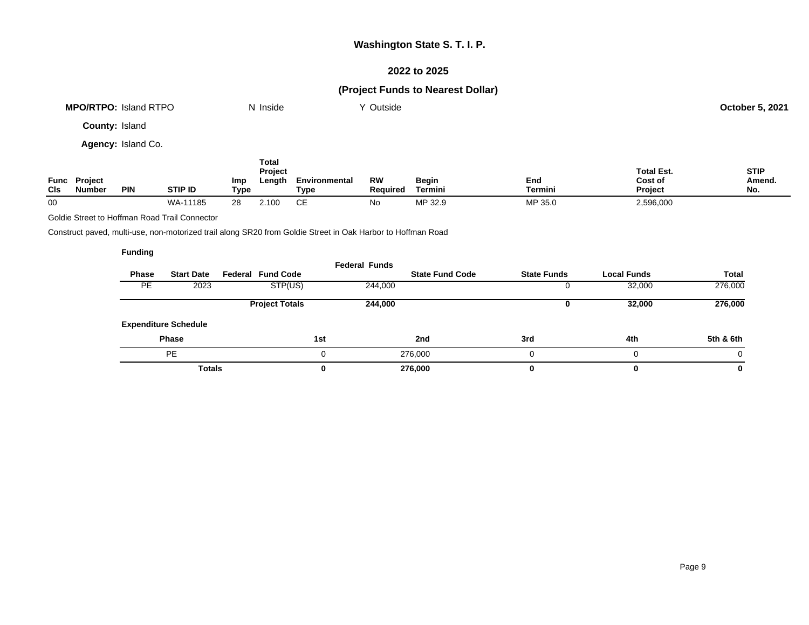## **2022 to 2025**

# **(Project Funds to Nearest Dollar)**

| <b>MPO/RTPO: Island RTPO</b> | N Inside         | Y Outside |                   | October 5, 2021 |
|------------------------------|------------------|-----------|-------------------|-----------------|
| County: Island               |                  |           |                   |                 |
| Agency: Island Co.           |                  |           |                   |                 |
|                              | Total<br>Project |           | <b>Total Est.</b> | <b>STIP</b>     |

| <b>Func</b><br>CIs | <b>Project</b><br>Number | PIN | STIP ID      | Imp<br>Tvpe | Length | Environmental<br>Tvpe | RW<br>Reauired | Begin<br>Γermini | End<br>Termini  | Cost of<br>Project | Amend<br>No. |
|--------------------|--------------------------|-----|--------------|-------------|--------|-----------------------|----------------|------------------|-----------------|--------------------|--------------|
| 00                 |                          |     | WA-<br>11185 |             | .10C   | --                    | N٥             | MP 32.9          | MP 35<br>' 35.1 | 2,596,000          |              |

Goldie Street to Hoffman Road Trail Connector

Construct paved, multi-use, non-motorized trail along SR20 from Goldie Street in Oak Harbor to Hoffman Road

|              |                             |                          | <b>Federal Funds</b> |                        |                    |                    |              |
|--------------|-----------------------------|--------------------------|----------------------|------------------------|--------------------|--------------------|--------------|
| <b>Phase</b> | <b>Start Date</b>           | <b>Federal Fund Code</b> |                      | <b>State Fund Code</b> | <b>State Funds</b> | <b>Local Funds</b> | <b>Total</b> |
| <b>PE</b>    | 2023                        | STP(US)                  | 244,000              |                        |                    | 32,000             | 276,000      |
|              |                             | <b>Project Totals</b>    | 244,000              |                        |                    | 32,000             | 276,000      |
|              | <b>Expenditure Schedule</b> |                          |                      |                        |                    |                    |              |
|              | <b>Phase</b>                |                          | 1st                  | 2nd                    | 3rd                | 4th                | 5th & 6th    |
|              | PE                          |                          | 0                    | 276,000                |                    |                    | $\Omega$     |
|              | <b>Totals</b>               |                          | 0                    | 276,000                |                    |                    | 0            |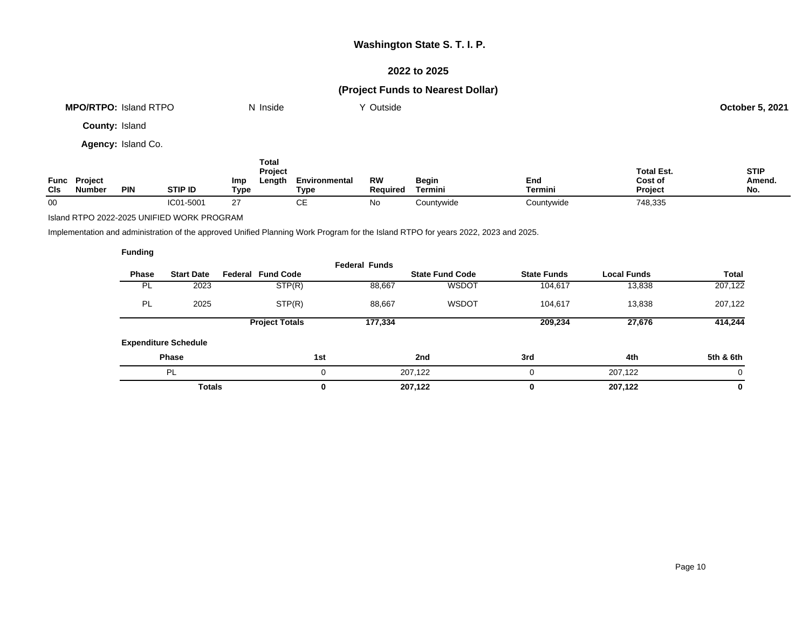## **2022 to 2025**

# **(Project Funds to Nearest Dollar)**

| <b>MPO/RTPO: Island RTPO</b> | N Inside | Y Outside | <b>October 5, 2021</b> |
|------------------------------|----------|-----------|------------------------|
| <b>County: Island</b>        |          |           |                        |
| <b>Agency: Island Co.</b>    |          |           |                        |

| Func<br><b>CIs</b> | <b>Project</b><br>Number | <b>PIN</b> | <b>STIP ID</b> | Total<br>Project<br>Length<br>Imp<br>Type | Environmental<br>Type | <b>RW</b><br>Reauired | Begin<br>Termini | End<br>Termini | <b>Total Est.</b><br>Cost of<br><b>Project</b> | <b>STIP</b><br>Amend.<br>No. |
|--------------------|--------------------------|------------|----------------|-------------------------------------------|-----------------------|-----------------------|------------------|----------------|------------------------------------------------|------------------------------|
| 00                 |                          |            | IC01-5001      | 27                                        | ◡∟                    | No                    | Countywide       | Countywide     | 748,335                                        |                              |

Island RTPO 2022-2025 UNIFIED WORK PROGRAM

Implementation and administration of the approved Unified Planning Work Program for the Island RTPO for years 2022, 2023 and 2025.

| <b>Funding</b> |                             |                          |                      |                        |                    |                    |              |
|----------------|-----------------------------|--------------------------|----------------------|------------------------|--------------------|--------------------|--------------|
| Phase          | <b>Start Date</b>           | <b>Federal Fund Code</b> | <b>Federal Funds</b> | <b>State Fund Code</b> | <b>State Funds</b> | <b>Local Funds</b> | <b>Total</b> |
| <b>PL</b>      | 2023                        | STP(R)                   | 88,667               | <b>WSDOT</b>           | 104,617            | 13,838             | 207,122      |
| PL             | 2025                        | STP(R)                   | 88,667               | <b>WSDOT</b>           | 104,617            | 13,838             | 207,122      |
|                |                             | <b>Project Totals</b>    | 177,334              |                        | 209,234            | 27,676             | 414,244      |
|                | <b>Expenditure Schedule</b> |                          |                      |                        |                    |                    |              |
|                | <b>Phase</b>                |                          | 1st                  | 2nd                    | 3rd                | 4th                | 5th & 6th    |
|                | PL                          |                          | 0                    | 207,122                | 0                  | 207.122            | $\Omega$     |
|                | <b>Totals</b>               |                          | 0                    | 207,122                | 0                  | 207,122            | $\mathbf 0$  |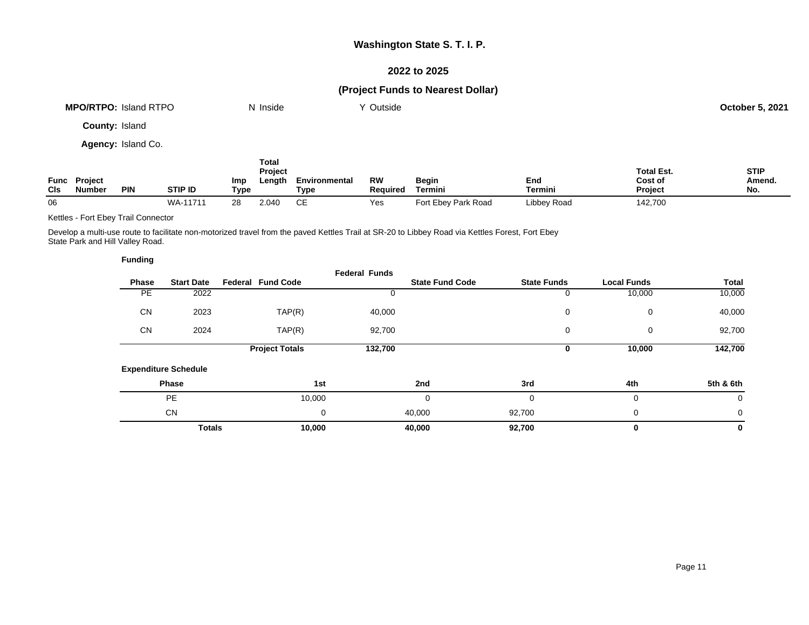## **2022 to 2025**

# **(Project Funds to Nearest Dollar)**

| <b>MPO/RTPO: Island RTPO</b> | N Inside | Y Outside | <b>October 5, 2021</b> |
|------------------------------|----------|-----------|------------------------|
| <b>County: Island</b>        |          |           |                        |
| Agency: Island Co.           |          |           |                        |

| <b>CIs</b> | <b>Func Project</b><br><b>Number</b> | <b>PIN</b> | <b>STIP ID</b> | Imp<br>Type | Total<br>Project<br>Length | Environmental<br>Type | RW<br><b>Required</b> | <b>Begin</b><br>Termini | End<br>Termini | <b>Total Est.</b><br>Cost of<br><b>Project</b> | <b>STIP</b><br>Amend.<br>No. |
|------------|--------------------------------------|------------|----------------|-------------|----------------------------|-----------------------|-----------------------|-------------------------|----------------|------------------------------------------------|------------------------------|
| 06         |                                      |            | WA-11711       | 28          | 2.040                      | CЕ                    | Yes                   | Fort Ebey Park Road     | Libbey Road    | 142,700                                        |                              |

Kettles - Fort Ebey Trail Connector

Develop a multi-use route to facilitate non-motorized travel from the paved Kettles Trail at SR-20 to Libbey Road via Kettles Forest, Fort Ebey State Park and Hill Valley Road.

| <b>Funding</b> |                             |                          |                      |                        |                    |                    |           |
|----------------|-----------------------------|--------------------------|----------------------|------------------------|--------------------|--------------------|-----------|
| Phase          | <b>Start Date</b>           | <b>Federal Fund Code</b> | <b>Federal Funds</b> | <b>State Fund Code</b> | <b>State Funds</b> | <b>Local Funds</b> | Total     |
| PE             | 2022                        |                          |                      |                        | 0                  | 10,000             | 10,000    |
| <b>CN</b>      | 2023                        | TAP(R)                   | 40,000               |                        | 0                  | 0                  | 40,000    |
| <b>CN</b>      | 2024                        | TAP(R)                   | 92,700               |                        | 0                  | 0                  | 92,700    |
|                |                             | <b>Project Totals</b>    | 132,700              |                        | 0                  | 10,000             | 142,700   |
|                | <b>Expenditure Schedule</b> |                          |                      |                        |                    |                    |           |
|                | Phase                       |                          | 1st                  | 2nd                    | 3rd                | 4th                | 5th & 6th |
|                | <b>PE</b>                   | 10,000                   |                      | 0                      | $\Omega$           | $\mathbf 0$        | 0         |
|                | <b>CN</b>                   |                          | 0                    | 40,000                 | 92,700             | 0                  | 0         |
|                | <b>Totals</b>               | 10,000                   |                      | 40,000                 | 92,700             | 0                  | 0         |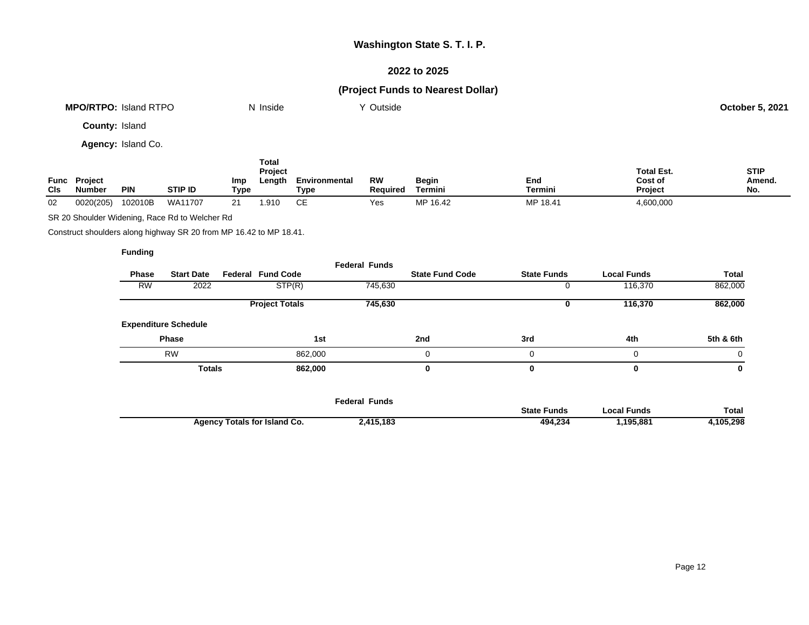## **2022 to 2025**

# **(Project Funds to Nearest Dollar)**

| <b>MPO/RTPO: Island RTPO</b> | N Inside | Y Outside | <b>October 5, 2021</b> |
|------------------------------|----------|-----------|------------------------|
| <b>County: Island</b>        |          |           |                        |
| Agency: Island Co.           |          |           |                        |
|                              | Total    |           |                        |

|             | <b>Project</b> |            |         |             | ------<br><b>Project</b> |                       | <b>RW</b> |                  | End      | <b>Total Est.</b><br>Cost of | <b>STIP</b><br>Amend. |
|-------------|----------------|------------|---------|-------------|--------------------------|-----------------------|-----------|------------------|----------|------------------------------|-----------------------|
| Func<br>CIs | Number         | <b>PIN</b> | STIP ID | Imp<br>Type | Length                   | Environmental<br>Type | Reauired  | Begin<br>Termini | Termini  | <b>Project</b>               | No.                   |
| 02          | 0020(205)      | 102010B    | WA11707 |             | .910                     | ∼⊏<br>◡∟              | Yes       | MP 16.42         | MP 18.41 | 4,600,000                    |                       |

SR 20 Shoulder Widening, Race Rd to Welcher Rd

Construct shoulders along highway SR 20 from MP 16.42 to MP 18.41.

|           |                             |                          | <b>Federal Funds</b> |                        |                    |                    |              |
|-----------|-----------------------------|--------------------------|----------------------|------------------------|--------------------|--------------------|--------------|
| Phase     | <b>Start Date</b>           | <b>Federal Fund Code</b> |                      | <b>State Fund Code</b> | <b>State Funds</b> | <b>Local Funds</b> | <b>Total</b> |
| <b>RW</b> | 2022                        | STP(R)                   | 745,630              |                        | O                  | 116,370            | 862,000      |
|           |                             | <b>Project Totals</b>    | 745,630              |                        | U                  | 116,370            | 862,000      |
|           | <b>Expenditure Schedule</b> |                          |                      |                        |                    |                    |              |
|           | <b>Phase</b>                | 1st                      |                      | 2nd                    | 3rd                | 4th                | 5th & 6th    |
|           | <b>RW</b>                   | 862,000                  |                      | 0                      | 0                  | 0                  | 0            |
|           | <b>Totals</b>               | 862,000                  |                      | 0                      | 0                  | 0                  | 0            |
|           |                             |                          |                      |                        |                    |                    |              |
|           |                             |                          | Eadaral Eunda        |                        |                    |                    |              |

|                                     | Feαerai Funds |                    |             |          |
|-------------------------------------|---------------|--------------------|-------------|----------|
|                                     |               | <b>State Funds</b> | ocal Funds. | Total    |
| <b>Agency Totals for Island Co.</b> | 2,415,183     | 494.234            | .195,881    | .105.298 |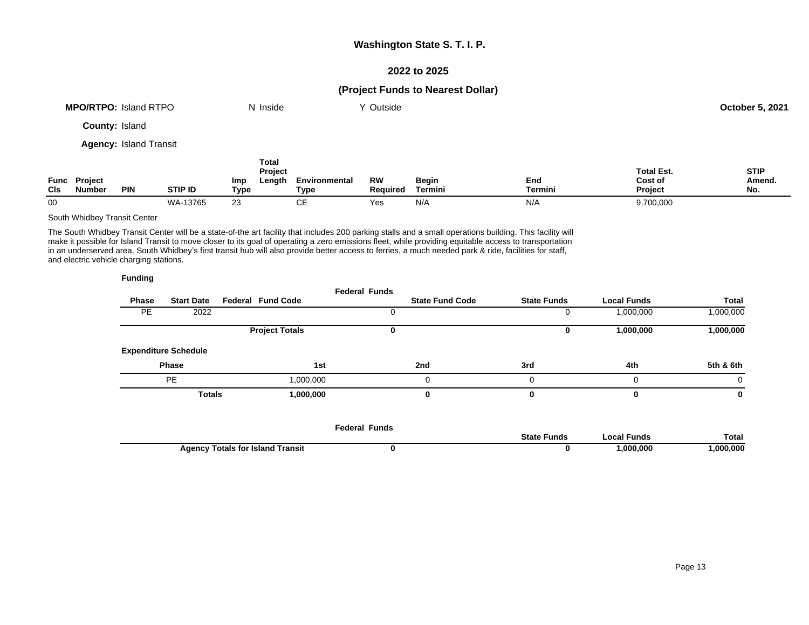## **2022 to 2025**

## **(Project Funds to Nearest Dollar)**

|     | <b>MPO/RTPO: Island RTPO</b>  |                               |                |                    | N Inside                          |                       | Y Outside                    |                         |                |                                         | <b>October 5, 2021</b>       |
|-----|-------------------------------|-------------------------------|----------------|--------------------|-----------------------------------|-----------------------|------------------------------|-------------------------|----------------|-----------------------------------------|------------------------------|
|     | <b>County: Island</b>         |                               |                |                    |                                   |                       |                              |                         |                |                                         |                              |
|     |                               | <b>Agency: Island Transit</b> |                |                    |                                   |                       |                              |                         |                |                                         |                              |
| CIS | Func Project<br><b>Number</b> | <b>PIN</b>                    | <b>STIP ID</b> | <b>Imp</b><br>Type | <b>Total</b><br>Project<br>Length | Environmental<br>Type | <b>RW</b><br><b>Required</b> | <b>Begin</b><br>Termini | End<br>Termini | <b>Total Est.</b><br>Cost of<br>Project | <b>STIP</b><br>Amend.<br>No. |

00 WA-13765 23 CE Yes N/A N/A 9,700,000

### South Whidbey Transit Center

The South Whidbey Transit Center will be a state-of-the art facility that includes 200 parking stalls and a small operations building. This facility will make it possible for Island Transit to move closer to its goal of operating a zero emissions fleet, while providing equitable access to transportation in an underserved area. South Whidbey's first transit hub will also provide better access to ferries, a much needed park & ride, facilities for staff, and electric vehicle charging stations.

|              |                             |                          | <b>Federal Funds</b> |                        |                    |                    |              |
|--------------|-----------------------------|--------------------------|----------------------|------------------------|--------------------|--------------------|--------------|
| <b>Phase</b> | <b>Start Date</b>           | <b>Federal Fund Code</b> |                      | <b>State Fund Code</b> | <b>State Funds</b> | <b>Local Funds</b> | <b>Total</b> |
| <b>PE</b>    | 2022                        |                          |                      |                        |                    | 1,000,000          | 000,000,     |
|              |                             | <b>Project Totals</b>    |                      |                        |                    | 1,000,000          | 1,000,000    |
|              | <b>Expenditure Schedule</b> |                          |                      |                        |                    |                    |              |
|              | <b>Phase</b>                |                          | 1st                  | 2nd                    | 3rd                | 4th                | 5th & 6th    |
|              | <b>PE</b>                   | 1,000,000                |                      |                        |                    |                    | 0            |
|              | <b>Totals</b>               | 1,000,000                |                      |                        |                    |                    | 0            |

|                            | Funds<br>-edera |       |          |          |
|----------------------------|-----------------|-------|----------|----------|
|                            |                 | -und. | ⊤unds    | Total    |
| Transit<br>∶ Island<br>. . |                 |       | .000.000 | .000.000 |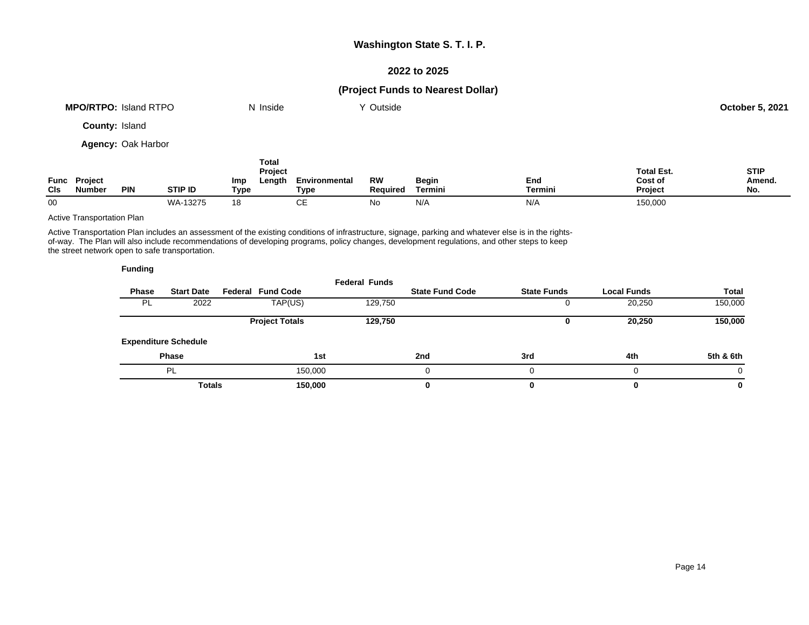## **2022 to 2025**

## **(Project Funds to Nearest Dollar)**

|     | <b>MPO/RTPO: Island RTPO</b>  |                           |                |                    | N Inside                          |                       | Y Outside                    |                         |                |                                         | October 5, 2021              |
|-----|-------------------------------|---------------------------|----------------|--------------------|-----------------------------------|-----------------------|------------------------------|-------------------------|----------------|-----------------------------------------|------------------------------|
|     | <b>County: Island</b>         |                           |                |                    |                                   |                       |                              |                         |                |                                         |                              |
|     |                               | <b>Agency: Oak Harbor</b> |                |                    |                                   |                       |                              |                         |                |                                         |                              |
| CIS | Func Project<br><b>Number</b> | <b>PIN</b>                | <b>STIP ID</b> | <b>Imp</b><br>Type | <b>Total</b><br>Project<br>Length | Environmental<br>Type | <b>RW</b><br><b>Required</b> | <b>Begin</b><br>Termini | End<br>Termini | <b>Total Est.</b><br>Cost of<br>Project | <b>STIP</b><br>Amend.<br>No. |

00 WA-13275 18 CE No N/A N/A 150,000

### Active Transportation Plan

Active Transportation Plan includes an assessment of the existing conditions of infrastructure, signage, parking and whatever else is in the rightsof-way. The Plan will also include recommendations of developing programs, policy changes, development regulations, and other steps to keep the street network open to safe transportation.

| <b>Funding</b> |                   |               |
|----------------|-------------------|---------------|
| Phase          | <b>Start Date</b> | <b>Federa</b> |

|              |                             |                          | <b>Federal Funds</b> |                        |                    |                    |              |
|--------------|-----------------------------|--------------------------|----------------------|------------------------|--------------------|--------------------|--------------|
| <b>Phase</b> | <b>Start Date</b>           | <b>Federal Fund Code</b> |                      | <b>State Fund Code</b> | <b>State Funds</b> | <b>Local Funds</b> | <b>Total</b> |
| - PL         | 2022                        | TAP(US)                  | 129,750              |                        |                    | 20,250             | 150,000      |
|              |                             | <b>Project Totals</b>    | 129,750              |                        | u                  | 20,250             | 150,000      |
|              | <b>Expenditure Schedule</b> |                          |                      |                        |                    |                    |              |
|              | <b>Phase</b>                |                          | 1st                  | 2nd                    | 3rd                | 4th                | 5th & 6th    |
|              | PL                          | 150,000                  |                      | 0                      |                    | $\Omega$           | $\Omega$     |
|              | <b>Totals</b>               | 150,000                  |                      | 0                      |                    | 0                  | 0            |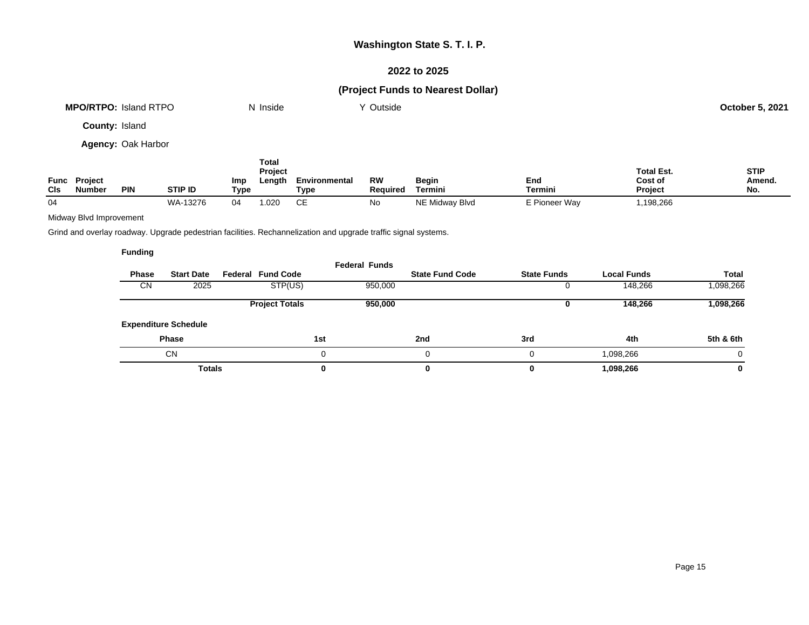## **2022 to 2025**

# **(Project Funds to Nearest Dollar)**

| <b>MPO/RTPO: Island RTPO</b> | N Inside | Y Outside | <b>October 5, 2021</b> |
|------------------------------|----------|-----------|------------------------|
| <b>County: Island</b>        |          |           |                        |
| <b>Agency: Oak Harbor</b>    |          |           |                        |

| Func<br>CIS | Project<br>Number | <b>PIN</b> | <b>STIP ID</b> | Imp<br>Type | Total<br><b>Project</b><br>Length | Environmental<br>Tvpe | <b>RW</b><br><b>Required</b> | <b>Begin</b><br>Termini | End<br>Termini | <b>Total Est.</b><br>Cost of<br><b>Project</b> | <b>STIP</b><br>Amend.<br>No. |
|-------------|-------------------|------------|----------------|-------------|-----------------------------------|-----------------------|------------------------------|-------------------------|----------------|------------------------------------------------|------------------------------|
| 04          |                   |            | WA-13276       | 04          | 1.020                             | ∼⊏<br>◡⊏              | No                           | NE Midway Blvd          | E Pioneer Way  | ,198,266                                       |                              |

## Midway Blvd Improvement

Grind and overlay roadway. Upgrade pedestrian facilities. Rechannelization and upgrade traffic signal systems.

| <b>Phase</b><br><b>CN</b> | <b>Start Date</b><br>2025   | <b>Federal Fund Code</b><br>STP(US) | <b>Federal Funds</b><br>950,000 | <b>State Fund Code</b> | <b>State Funds</b> | <b>Local Funds</b><br>148,266 | Total<br>1,098,266 |
|---------------------------|-----------------------------|-------------------------------------|---------------------------------|------------------------|--------------------|-------------------------------|--------------------|
|                           |                             | <b>Project Totals</b>               | 950,000                         |                        | u                  | 148,266                       | 1,098,266          |
|                           | <b>Expenditure Schedule</b> |                                     |                                 |                        |                    |                               |                    |
|                           | <b>Phase</b>                |                                     | 1st                             | 2nd                    | 3rd                | 4th                           | 5th & 6th          |
|                           | <b>CN</b>                   |                                     | 0                               |                        |                    | 1,098,266                     | 0                  |
|                           | <b>Totals</b>               |                                     | 0                               | 0                      |                    | 1,098,266                     | 0                  |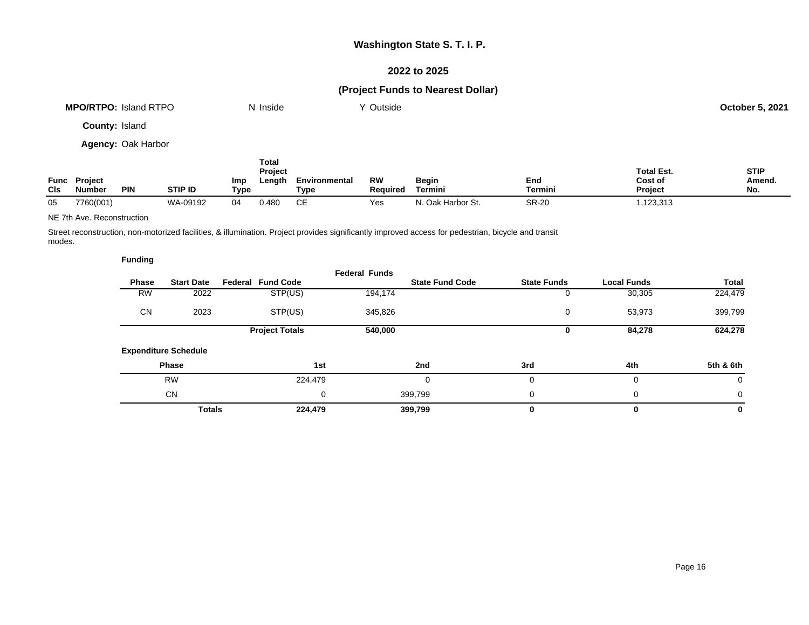## **2022 to 2025**

# **(Project Funds to Nearest Dollar)**

| <b>MPO/RTPO: Island RTPO</b> | N Inside | Y Outside | <b>October 5, 2021</b> |
|------------------------------|----------|-----------|------------------------|
| <b>County: Island</b>        |          |           |                        |
| <b>Agency: Oak Harbor</b>    |          |           |                        |

|             |                                 |            |                |                    | Total<br>Project |                       |                |                         |                | <b>Total Est.</b>         | <b>STIP</b>         |
|-------------|---------------------------------|------------|----------------|--------------------|------------------|-----------------------|----------------|-------------------------|----------------|---------------------------|---------------------|
| Func<br>CIS | <b>Project</b><br><b>Number</b> | <b>PIN</b> | <b>STIP ID</b> | <b>Imp</b><br>Type | Length           | Environmental<br>Type | RW<br>Reauired | <b>Begin</b><br>Termini | End<br>Termini | Cost of<br><b>Project</b> | <b>Amend</b><br>No. |
| 05          | 7760(001)                       |            | WA-09192       | 04                 | 0.480            | CЕ                    | Yes            | '. Oak Harbor St.       | <b>SR-20</b>   | ,123,313                  |                     |

### NE 7th Ave. Reconstruction

Street reconstruction, non-motorized facilities, & illumination. Project provides significantly improved access for pedestrian, bicycle and transit modes.

|              |                             |                          | <b>Federal Funds</b> |                        |                    |                    |           |
|--------------|-----------------------------|--------------------------|----------------------|------------------------|--------------------|--------------------|-----------|
| <b>Phase</b> | <b>Start Date</b>           | <b>Federal Fund Code</b> |                      | <b>State Fund Code</b> | <b>State Funds</b> | <b>Local Funds</b> | Total     |
| <b>RW</b>    | 2022                        | STP(US)                  | 194,174              |                        | υ                  | 30,305             | 224,479   |
| <b>CN</b>    | 2023                        | STP(US)                  | 345,826              |                        | 0                  | 53,973             | 399,799   |
|              |                             | <b>Project Totals</b>    | 540,000              |                        | 0                  | 84,278             | 624,278   |
|              | <b>Expenditure Schedule</b> |                          |                      |                        |                    |                    |           |
|              | <b>Phase</b>                |                          | 1st                  | 2nd                    | 3rd                | 4th                | 5th & 6th |
|              | <b>RW</b>                   | 224,479                  |                      | O                      | 0                  | 0                  | 0         |
|              | <b>CN</b>                   |                          | 0                    | 399,799                | 0                  | 0                  | 0         |
|              | <b>Totals</b>               | 224,479                  |                      | 399,799                | 0                  | 0                  | 0         |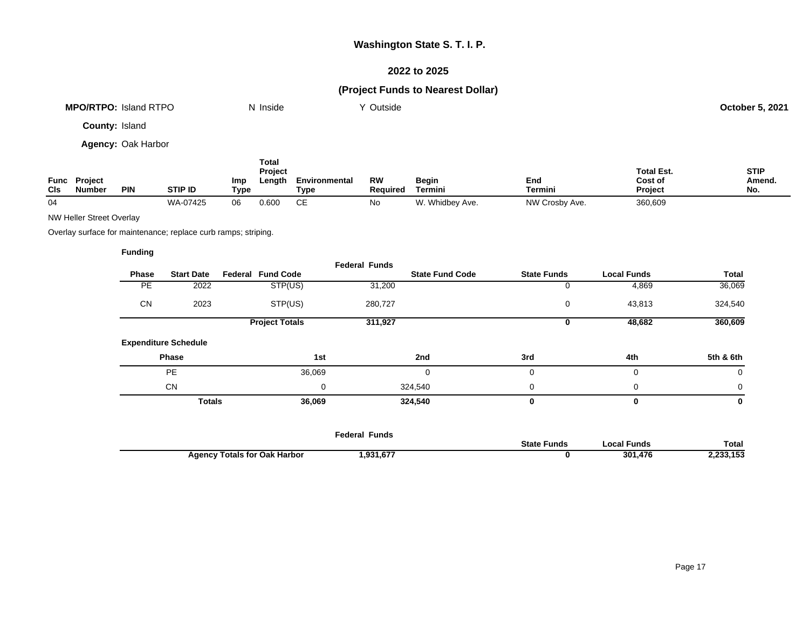## **2022 to 2025**

# **(Project Funds to Nearest Dollar)**

| <b>MPO/RTPO: Island RTPO</b> | N Inside | ∨ Outside | <b>October 5, 2021</b> |
|------------------------------|----------|-----------|------------------------|
| County: Island               |          |           |                        |

**Agency:** Oak Harbor

|                    |                                 |            |                |             | <b>Total</b><br><b>Project</b> |                       |                |                         |                       | <b>Total Est.</b>         | <b>STIP</b>   |
|--------------------|---------------------------------|------------|----------------|-------------|--------------------------------|-----------------------|----------------|-------------------------|-----------------------|---------------------------|---------------|
| Func<br><b>CIs</b> | <b>Project</b><br><b>Number</b> | <b>PIN</b> | <b>STIP ID</b> | Imp<br>Type | ∟ength                         | Environmental<br>Tvpe | RW<br>Reauired | <b>Begin</b><br>Termini | End<br><b>Termini</b> | Cost of<br><b>Project</b> | Amend.<br>No. |
| 04                 |                                 |            | WA-07425       | 06          | 0.600                          | ∼⊏<br>◡∟              | N0             | W. Whidbey Ave.         | NW Crosby Ave.        | 360,609                   |               |

NW Heller Street Overlay

Overlay surface for maintenance; replace curb ramps; striping.

|           |                             |                          | <b>Federal Funds</b> |                        |                    |                    |              |
|-----------|-----------------------------|--------------------------|----------------------|------------------------|--------------------|--------------------|--------------|
| Phase     | <b>Start Date</b>           | <b>Federal Fund Code</b> |                      | <b>State Fund Code</b> | <b>State Funds</b> | <b>Local Funds</b> | <b>Total</b> |
| <b>PE</b> | 2022                        | STP(US)                  | 31,200               |                        | 0                  | 4,869              | 36,069       |
| <b>CN</b> | 2023                        | STP(US)                  | 280,727              |                        | 0                  | 43,813             | 324,540      |
|           |                             | <b>Project Totals</b>    | 311,927              |                        | 0                  | 48,682             | 360,609      |
|           | <b>Expenditure Schedule</b> |                          |                      |                        |                    |                    |              |
|           | Phase                       |                          | 1st                  | 2nd                    | 3rd                | 4th                | 5th & 6th    |
|           | <b>PE</b>                   | 36,069                   |                      | $\mathbf 0$            | 0                  | $\mathbf 0$        | 0            |
|           | <b>CN</b>                   |                          | 0                    | 324,540                | 0                  | $\mathbf 0$        | 0            |
|           | <b>Totals</b>               | 36,069                   |                      | 324,540                | 0                  | 0                  | $\mathbf 0$  |
|           |                             |                          |                      |                        |                    |                    |              |
|           |                             |                          | <b>Federal Funds</b> |                        |                    |                    |              |

|                                        | .<br>.<br>.              | State<br><b>Funds</b> | ' Funds<br>.ocal | Total              |
|----------------------------------------|--------------------------|-----------------------|------------------|--------------------|
| <b>Fotals for Oak Harbor</b><br>Adency | 024 677<br>ו וס, ו כפ, ו |                       | 301<br>476       | $\overline{a}$<br> |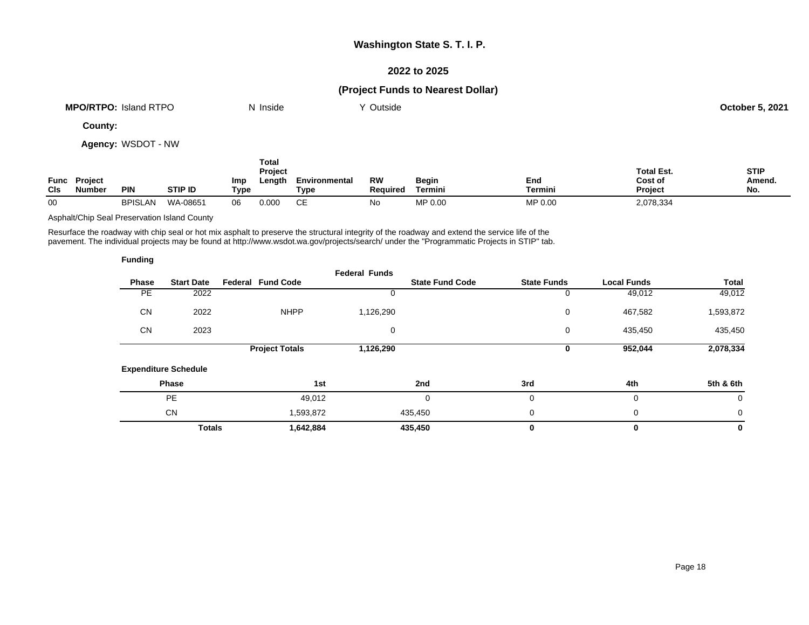## **2022 to 2025**

# **(Project Funds to Nearest Dollar)**

| <b>MPO/RTPO:</b><br>Island RTPO | N Inside | Outside | 5,202'<br>October |
|---------------------------------|----------|---------|-------------------|
|                                 |          |         |                   |

**County:**

**Agency:** WSDOT - NW

|            |                               |                |                |             | Total<br><b>Project</b> |                       |                |                  |                | <b>Total Est.</b>         | <b>STIP</b>   |
|------------|-------------------------------|----------------|----------------|-------------|-------------------------|-----------------------|----------------|------------------|----------------|---------------------------|---------------|
| <b>CIs</b> | <b>Func Project</b><br>Number | <b>PIN</b>     | <b>STIP ID</b> | Imp<br>Type | Lenath                  | Environmental<br>Туре | RW<br>Reauired | Begin<br>Termini | End<br>Termini | Cost of<br><b>Project</b> | Amend.<br>No. |
| 00         |                               | <b>BPISLAN</b> | WA-08651       | 06          | 0.000                   | CЕ                    | No             | MP 0.00          | MP 0.00        | 2,078,334                 |               |

Asphalt/Chip Seal Preservation Island County

Resurface the roadway with chip seal or hot mix asphalt to preserve the structural integrity of the roadway and extend the service life of the pavement. The individual projects may be found at http://www.wsdot.wa.gov/projects/search/ under the "Programmatic Projects in STIP" tab.

| <b>Funding</b> |                             |                          |                      |                        |                    |                    |             |
|----------------|-----------------------------|--------------------------|----------------------|------------------------|--------------------|--------------------|-------------|
| Phase          | <b>Start Date</b>           | <b>Federal Fund Code</b> | <b>Federal Funds</b> | <b>State Fund Code</b> | <b>State Funds</b> | <b>Local Funds</b> | Total       |
| PE             | 2022                        |                          |                      |                        | 0                  | 49,012             | 49,012      |
| <b>CN</b>      | 2022                        | <b>NHPP</b>              | 1,126,290            |                        | 0                  | 467,582            | 1,593,872   |
| <b>CN</b>      | 2023                        |                          | 0                    |                        | 0                  | 435,450            | 435,450     |
|                |                             | <b>Project Totals</b>    | 1,126,290            |                        | 0                  | 952,044            | 2,078,334   |
|                | <b>Expenditure Schedule</b> |                          |                      |                        |                    |                    |             |
|                | Phase                       | 1st                      |                      | 2nd                    | 3rd                | 4th                | 5th & 6th   |
|                | <b>PE</b>                   | 49,012                   |                      | 0                      | 0                  | 0                  | $\mathbf 0$ |
|                | <b>CN</b>                   | 1,593,872                |                      | 435,450                | 0                  | 0                  | 0           |
|                | <b>Totals</b>               | 1,642,884                |                      | 435,450                | 0                  | 0                  | $\mathbf 0$ |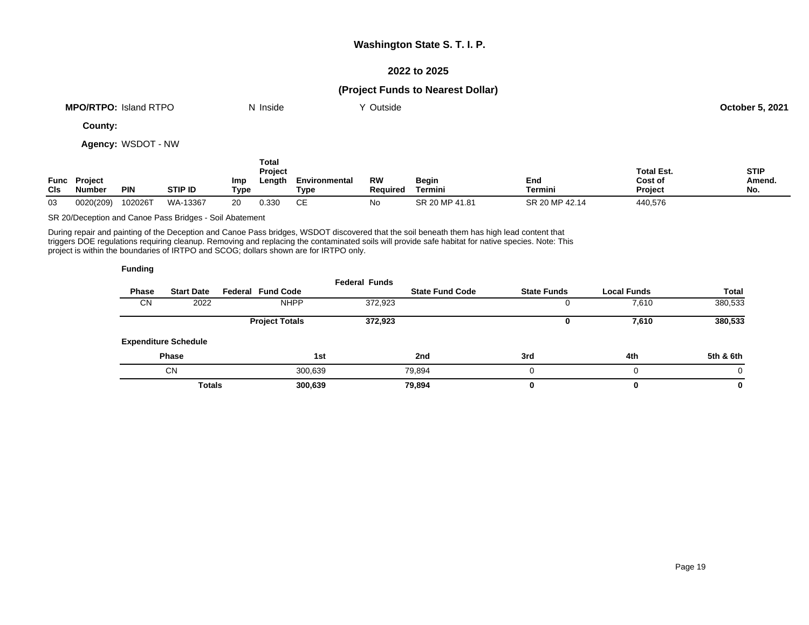## **2022 to 2025**

## **(Project Funds to Nearest Dollar)**

| <b>MPO/RTPO: Island RTPO</b> | N Inside | Y Outside | October 5, 2021 |
|------------------------------|----------|-----------|-----------------|
| County:                      |          |           |                 |

**Agency:** WSDOT - NW

| <b>CIs</b> | <b>Func Project</b><br><b>Number</b> | <b>PIN</b> | <b>STIP ID</b> | Imp<br>Type | Total<br><b>Project</b><br>Length | Environmental<br>Type | <b>RW</b><br><b>Required</b> | Begin<br>Termini | End<br>Termini | <b>Total Est.</b><br>Cost of<br><b>Project</b> | <b>STIP</b><br>Amend.<br>No. |
|------------|--------------------------------------|------------|----------------|-------------|-----------------------------------|-----------------------|------------------------------|------------------|----------------|------------------------------------------------|------------------------------|
| 03         | 0020(209)                            | 102026T    | WA-13367       | 20          | 0.330                             | CЕ                    | No                           | SR 20 MP 41.81   | SR 20 MP 42.14 | 440,576                                        |                              |

SR 20/Deception and Canoe Pass Bridges - Soil Abatement

During repair and painting of the Deception and Canoe Pass bridges, WSDOT discovered that the soil beneath them has high lead content that triggers DOE regulations requiring cleanup. Removing and replacing the contaminated soils will provide safe habitat for native species. Note: This project is within the boundaries of IRTPO and SCOG; dollars shown are for IRTPO only.

| <b>Funding</b> |                             |                          |                      |                        |                    |                    |              |
|----------------|-----------------------------|--------------------------|----------------------|------------------------|--------------------|--------------------|--------------|
| <b>Phase</b>   | <b>Start Date</b>           | <b>Federal Fund Code</b> | <b>Federal Funds</b> | <b>State Fund Code</b> | <b>State Funds</b> | <b>Local Funds</b> | <b>Total</b> |
| <b>CN</b>      | 2022                        | <b>NHPP</b>              | 372,923              |                        | Ü                  | 7,610              | 380,533      |
|                |                             | <b>Project Totals</b>    | 372,923              |                        | U                  | 7,610              | 380,533      |
|                | <b>Expenditure Schedule</b> |                          |                      |                        |                    |                    |              |
|                | <b>Phase</b>                |                          | 1st                  | 2nd                    | 3rd                | 4th                | 5th & 6th    |
|                | <b>CN</b>                   |                          | 300,639              | 79,894                 | 0                  | 0                  | 0            |
|                | <b>Totals</b>               |                          | 300,639              | 79.894                 | 0                  | 0                  | 0            |